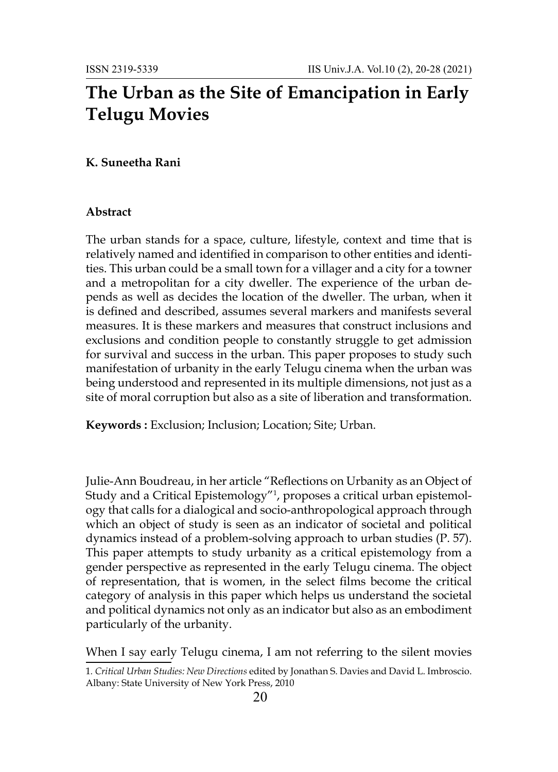## **The Urban as the Site of Emancipation in Early Telugu Movies**

## **K. Suneetha Rani**

## **Abstract**

The urban stands for a space, culture, lifestyle, context and time that is relatively named and identified in comparison to other entities and identities. This urban could be a small town for a villager and a city for a towner and a metropolitan for a city dweller. The experience of the urban depends as well as decides the location of the dweller. The urban, when it is defined and described, assumes several markers and manifests several measures. It is these markers and measures that construct inclusions and exclusions and condition people to constantly struggle to get admission for survival and success in the urban. This paper proposes to study such manifestation of urbanity in the early Telugu cinema when the urban was being understood and represented in its multiple dimensions, not just as a site of moral corruption but also as a site of liberation and transformation.

**Keywords :** Exclusion; Inclusion; Location; Site; Urban.

Julie-Ann Boudreau, in her article "Reflections on Urbanity as an Object of Study and a Critical Epistemology"1 , proposes a critical urban epistemology that calls for a dialogical and socio-anthropological approach through which an object of study is seen as an indicator of societal and political dynamics instead of a problem-solving approach to urban studies (P. 57). This paper attempts to study urbanity as a critical epistemology from a gender perspective as represented in the early Telugu cinema. The object of representation, that is women, in the select films become the critical category of analysis in this paper which helps us understand the societal and political dynamics not only as an indicator but also as an embodiment particularly of the urbanity.

When I say early Telugu cinema, I am not referring to the silent movies

<sup>1</sup>*. Critical Urban Studies: New Directions* edited by Jonathan S. Davies and David L. Imbroscio. Albany: State University of New York Press, 2010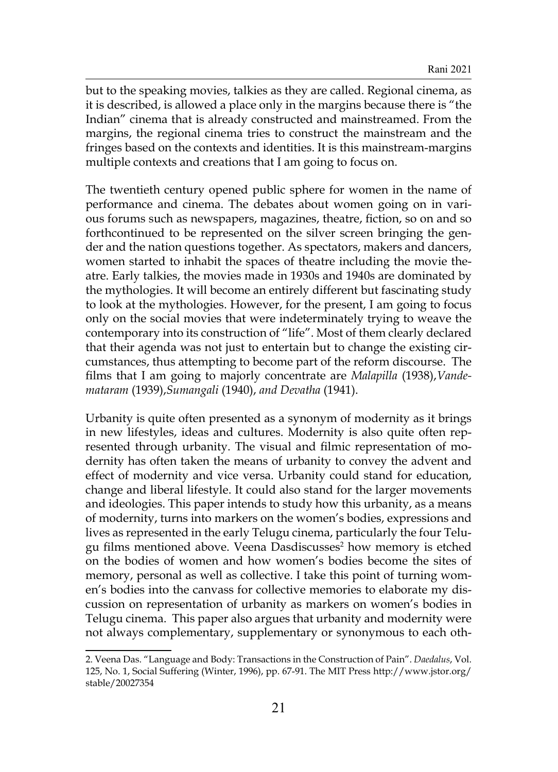but to the speaking movies, talkies as they are called. Regional cinema, as it is described, is allowed a place only in the margins because there is "the Indian" cinema that is already constructed and mainstreamed. From the margins, the regional cinema tries to construct the mainstream and the fringes based on the contexts and identities. It is this mainstream-margins multiple contexts and creations that I am going to focus on.

The twentieth century opened public sphere for women in the name of performance and cinema. The debates about women going on in various forums such as newspapers, magazines, theatre, fiction, so on and so forthcontinued to be represented on the silver screen bringing the gender and the nation questions together. As spectators, makers and dancers, women started to inhabit the spaces of theatre including the movie theatre. Early talkies, the movies made in 1930s and 1940s are dominated by the mythologies. It will become an entirely different but fascinating study to look at the mythologies. However, for the present, I am going to focus only on the social movies that were indeterminately trying to weave the contemporary into its construction of "life". Most of them clearly declared that their agenda was not just to entertain but to change the existing circumstances, thus attempting to become part of the reform discourse. The films that I am going to majorly concentrate are *Malapilla* (1938),*Vandemataram* (1939),*Sumangali* (1940), *and Devatha* (1941).

Urbanity is quite often presented as a synonym of modernity as it brings in new lifestyles, ideas and cultures. Modernity is also quite often represented through urbanity. The visual and filmic representation of modernity has often taken the means of urbanity to convey the advent and effect of modernity and vice versa. Urbanity could stand for education, change and liberal lifestyle. It could also stand for the larger movements and ideologies. This paper intends to study how this urbanity, as a means of modernity, turns into markers on the women's bodies, expressions and lives as represented in the early Telugu cinema, particularly the four Telugu films mentioned above. Veena Dasdiscusses<sup>2</sup> how memory is etched on the bodies of women and how women's bodies become the sites of memory, personal as well as collective. I take this point of turning women's bodies into the canvass for collective memories to elaborate my discussion on representation of urbanity as markers on women's bodies in Telugu cinema. This paper also argues that urbanity and modernity were not always complementary, supplementary or synonymous to each oth-

<sup>2.</sup> Veena Das. "Language and Body: Transactions in the Construction of Pain". *Daedalus*, Vol. 125, No. 1, Social Suffering (Winter, 1996), pp. 67-91. The MIT Press http://www.jstor.org/ stable/20027354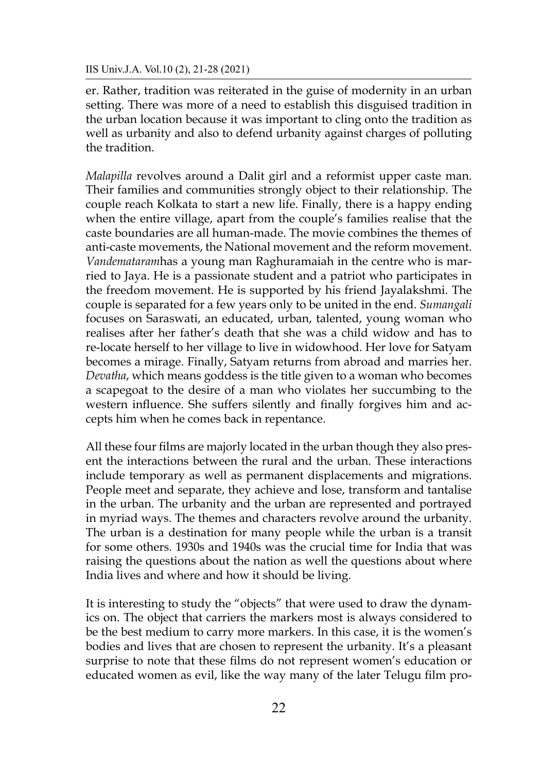IIS Univ.J.A. Vol.10 (2), 21-28 (2021)

er. Rather, tradition was reiterated in the guise of modernity in an urban setting. There was more of a need to establish this disguised tradition in the urban location because it was important to cling onto the tradition as well as urbanity and also to defend urbanity against charges of polluting the tradition.

*Malapilla* revolves around a Dalit girl and a reformist upper caste man. Their families and communities strongly object to their relationship. The couple reach Kolkata to start a new life. Finally, there is a happy ending when the entire village, apart from the couple's families realise that the caste boundaries are all human-made. The movie combines the themes of anti-caste movements, the National movement and the reform movement. *Vandemataram*has a young man Raghuramaiah in the centre who is married to Jaya. He is a passionate student and a patriot who participates in the freedom movement. He is supported by his friend Jayalakshmi. The couple is separated for a few years only to be united in the end. *Sumangali* focuses on Saraswati, an educated, urban, talented, young woman who realises after her father's death that she was a child widow and has to re-locate herself to her village to live in widowhood. Her love for Satyam becomes a mirage. Finally, Satyam returns from abroad and marries her. *Devatha*, which means goddess is the title given to a woman who becomes a scapegoat to the desire of a man who violates her succumbing to the western influence. She suffers silently and finally forgives him and accepts him when he comes back in repentance.

All these four films are majorly located in the urban though they also present the interactions between the rural and the urban. These interactions include temporary as well as permanent displacements and migrations. People meet and separate, they achieve and lose, transform and tantalise in the urban. The urbanity and the urban are represented and portrayed in myriad ways. The themes and characters revolve around the urbanity. The urban is a destination for many people while the urban is a transit for some others. 1930s and 1940s was the crucial time for India that was raising the questions about the nation as well the questions about where India lives and where and how it should be living.

It is interesting to study the "objects" that were used to draw the dynamics on. The object that carriers the markers most is always considered to be the best medium to carry more markers. In this case, it is the women's bodies and lives that are chosen to represent the urbanity. It's a pleasant surprise to note that these films do not represent women's education or educated women as evil, like the way many of the later Telugu film pro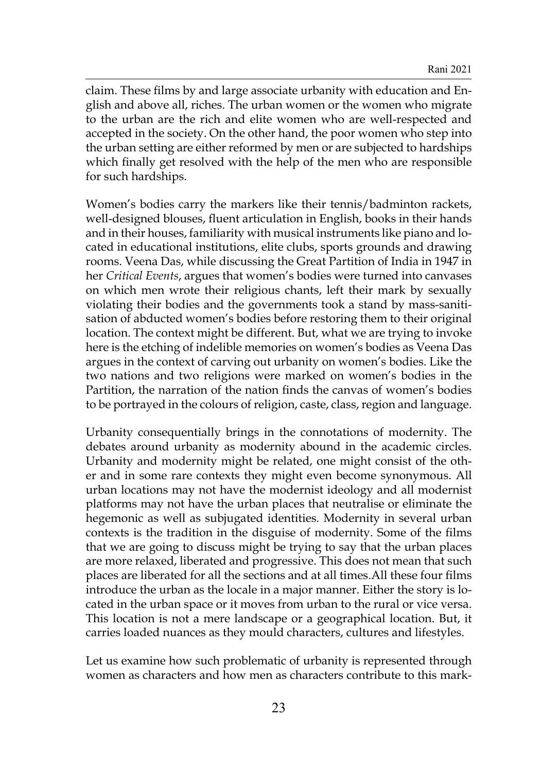claim. These films by and large associate urbanity with education and English and above all, riches. The urban women or the women who migrate to the urban are the rich and elite women who are well-respected and accepted in the society. On the other hand, the poor women who step into the urban setting are either reformed by men or are subjected to hardships which finally get resolved with the help of the men who are responsible for such hardships.

Women's bodies carry the markers like their tennis/badminton rackets, well-designed blouses, fluent articulation in English, books in their hands and in their houses, familiarity with musical instruments like piano and located in educational institutions, elite clubs, sports grounds and drawing rooms. Veena Das, while discussing the Great Partition of India in 1947 in her *Critical Events*, argues that women's bodies were turned into canvases on which men wrote their religious chants, left their mark by sexually violating their bodies and the governments took a stand by mass-sanitisation of abducted women's bodies before restoring them to their original location. The context might be different. But, what we are trying to invoke here is the etching of indelible memories on women's bodies as Veena Das argues in the context of carving out urbanity on women's bodies. Like the two nations and two religions were marked on women's bodies in the Partition, the narration of the nation finds the canvas of women's bodies to be portrayed in the colours of religion, caste, class, region and language.

Urbanity consequentially brings in the connotations of modernity. The debates around urbanity as modernity abound in the academic circles. Urbanity and modernity might be related, one might consist of the other and in some rare contexts they might even become synonymous. All urban locations may not have the modernist ideology and all modernist platforms may not have the urban places that neutralise or eliminate the hegemonic as well as subjugated identities. Modernity in several urban contexts is the tradition in the disguise of modernity. Some of the films that we are going to discuss might be trying to say that the urban places are more relaxed, liberated and progressive. This does not mean that such places are liberated for all the sections and at all times.All these four films introduce the urban as the locale in a major manner. Either the story is located in the urban space or it moves from urban to the rural or vice versa. This location is not a mere landscape or a geographical location. But, it carries loaded nuances as they mould characters, cultures and lifestyles.

Let us examine how such problematic of urbanity is represented through women as characters and how men as characters contribute to this mark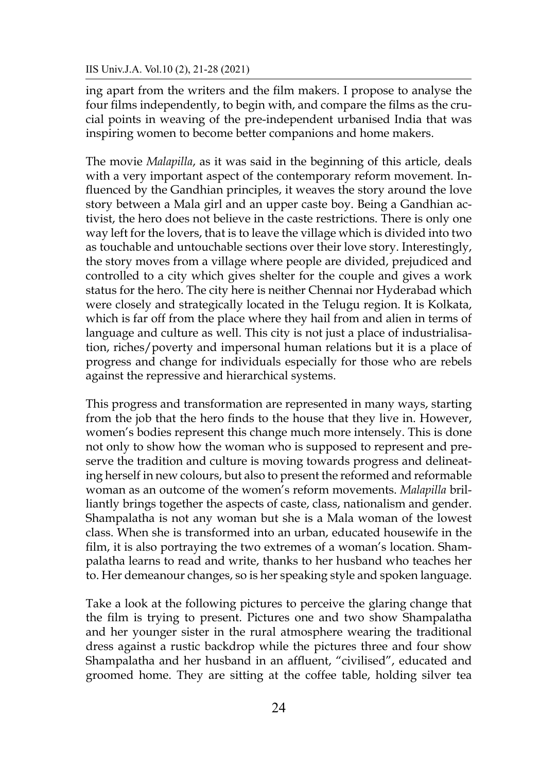ing apart from the writers and the film makers. I propose to analyse the four films independently, to begin with, and compare the films as the crucial points in weaving of the pre-independent urbanised India that was inspiring women to become better companions and home makers.

The movie *Malapilla*, as it was said in the beginning of this article, deals with a very important aspect of the contemporary reform movement. Influenced by the Gandhian principles, it weaves the story around the love story between a Mala girl and an upper caste boy. Being a Gandhian activist, the hero does not believe in the caste restrictions. There is only one way left for the lovers, that is to leave the village which is divided into two as touchable and untouchable sections over their love story. Interestingly, the story moves from a village where people are divided, prejudiced and controlled to a city which gives shelter for the couple and gives a work status for the hero. The city here is neither Chennai nor Hyderabad which were closely and strategically located in the Telugu region. It is Kolkata, which is far off from the place where they hail from and alien in terms of language and culture as well. This city is not just a place of industrialisation, riches/poverty and impersonal human relations but it is a place of progress and change for individuals especially for those who are rebels against the repressive and hierarchical systems.

This progress and transformation are represented in many ways, starting from the job that the hero finds to the house that they live in. However, women's bodies represent this change much more intensely. This is done not only to show how the woman who is supposed to represent and preserve the tradition and culture is moving towards progress and delineating herself in new colours, but also to present the reformed and reformable woman as an outcome of the women's reform movements. *Malapilla* brilliantly brings together the aspects of caste, class, nationalism and gender. Shampalatha is not any woman but she is a Mala woman of the lowest class. When she is transformed into an urban, educated housewife in the film, it is also portraying the two extremes of a woman's location. Shampalatha learns to read and write, thanks to her husband who teaches her to. Her demeanour changes, so is her speaking style and spoken language.

Take a look at the following pictures to perceive the glaring change that the film is trying to present. Pictures one and two show Shampalatha and her younger sister in the rural atmosphere wearing the traditional dress against a rustic backdrop while the pictures three and four show Shampalatha and her husband in an affluent, "civilised", educated and groomed home. They are sitting at the coffee table, holding silver tea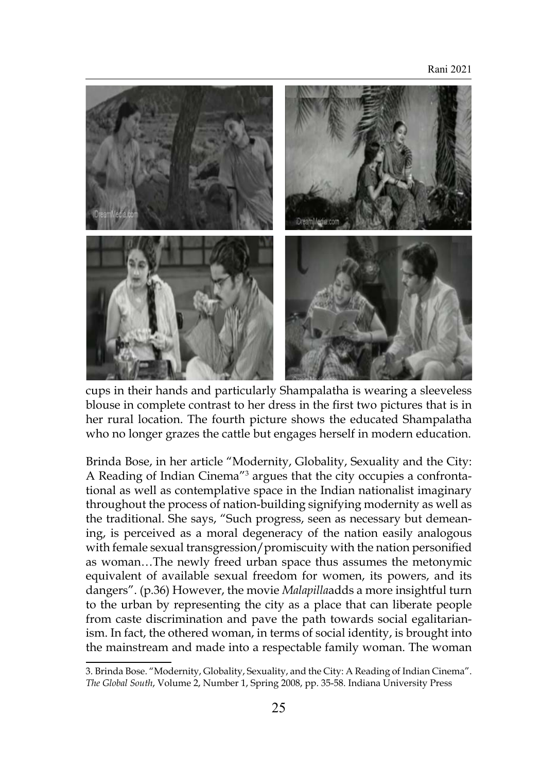

cups in their hands and particularly Shampalatha is wearing a sleeveless blouse in complete contrast to her dress in the first two pictures that is in her rural location. The fourth picture shows the educated Shampalatha who no longer grazes the cattle but engages herself in modern education.

Brinda Bose, in her article "Modernity, Globality, Sexuality and the City: A Reading of Indian Cinema<sup>"3</sup> argues that the city occupies a confrontational as well as contemplative space in the Indian nationalist imaginary throughout the process of nation-building signifying modernity as well as the traditional. She says, "Such progress, seen as necessary but demeaning, is perceived as a moral degeneracy of the nation easily analogous with female sexual transgression/promiscuity with the nation personified as woman…The newly freed urban space thus assumes the metonymic equivalent of available sexual freedom for women, its powers, and its dangers". (p.36) However, the movie *Malapilla*adds a more insightful turn to the urban by representing the city as a place that can liberate people from caste discrimination and pave the path towards social egalitarianism. In fact, the othered woman, in terms of social identity, is brought into the mainstream and made into a respectable family woman. The woman

<sup>3.</sup> Brinda Bose. "Modernity, Globality, Sexuality, and the City: A Reading of Indian Cinema". *The Global South*, Volume 2, Number 1, Spring 2008, pp. 35-58. Indiana University Press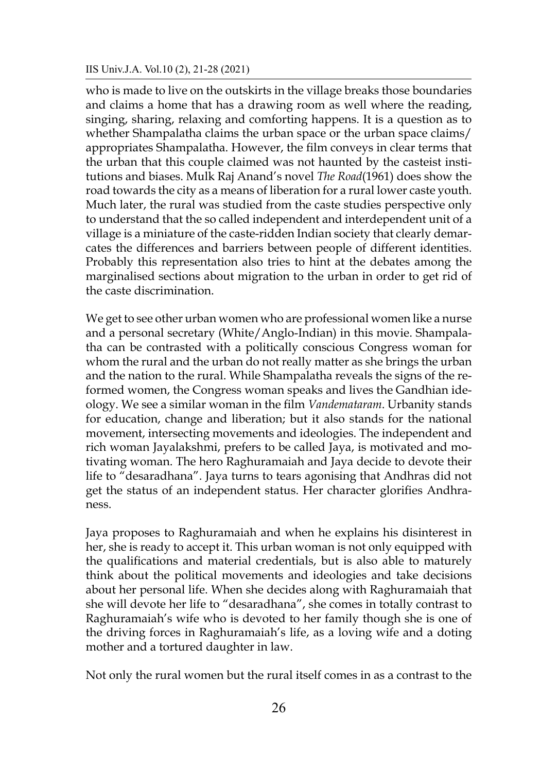who is made to live on the outskirts in the village breaks those boundaries and claims a home that has a drawing room as well where the reading, singing, sharing, relaxing and comforting happens. It is a question as to whether Shampalatha claims the urban space or the urban space claims/ appropriates Shampalatha. However, the film conveys in clear terms that the urban that this couple claimed was not haunted by the casteist institutions and biases. Mulk Raj Anand's novel *The Road*(1961) does show the road towards the city as a means of liberation for a rural lower caste youth. Much later, the rural was studied from the caste studies perspective only to understand that the so called independent and interdependent unit of a village is a miniature of the caste-ridden Indian society that clearly demarcates the differences and barriers between people of different identities. Probably this representation also tries to hint at the debates among the marginalised sections about migration to the urban in order to get rid of the caste discrimination.

We get to see other urban women who are professional women like a nurse and a personal secretary (White/Anglo-Indian) in this movie. Shampalatha can be contrasted with a politically conscious Congress woman for whom the rural and the urban do not really matter as she brings the urban and the nation to the rural. While Shampalatha reveals the signs of the reformed women, the Congress woman speaks and lives the Gandhian ideology. We see a similar woman in the film *Vandemataram*. Urbanity stands for education, change and liberation; but it also stands for the national movement, intersecting movements and ideologies. The independent and rich woman Jayalakshmi, prefers to be called Jaya, is motivated and motivating woman. The hero Raghuramaiah and Jaya decide to devote their life to "desaradhana". Jaya turns to tears agonising that Andhras did not get the status of an independent status. Her character glorifies Andhraness.

Jaya proposes to Raghuramaiah and when he explains his disinterest in her, she is ready to accept it. This urban woman is not only equipped with the qualifications and material credentials, but is also able to maturely think about the political movements and ideologies and take decisions about her personal life. When she decides along with Raghuramaiah that she will devote her life to "desaradhana", she comes in totally contrast to Raghuramaiah's wife who is devoted to her family though she is one of the driving forces in Raghuramaiah's life, as a loving wife and a doting mother and a tortured daughter in law.

Not only the rural women but the rural itself comes in as a contrast to the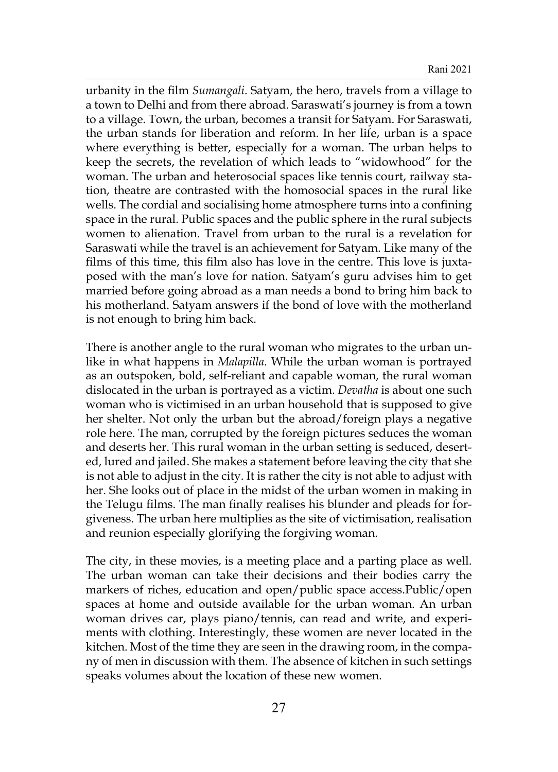urbanity in the film *Sumangali*. Satyam, the hero, travels from a village to a town to Delhi and from there abroad. Saraswati's journey is from a town to a village. Town, the urban, becomes a transit for Satyam. For Saraswati, the urban stands for liberation and reform. In her life, urban is a space where everything is better, especially for a woman. The urban helps to keep the secrets, the revelation of which leads to "widowhood" for the woman. The urban and heterosocial spaces like tennis court, railway station, theatre are contrasted with the homosocial spaces in the rural like wells. The cordial and socialising home atmosphere turns into a confining space in the rural. Public spaces and the public sphere in the rural subjects women to alienation. Travel from urban to the rural is a revelation for Saraswati while the travel is an achievement for Satyam. Like many of the films of this time, this film also has love in the centre. This love is juxtaposed with the man's love for nation. Satyam's guru advises him to get married before going abroad as a man needs a bond to bring him back to his motherland. Satyam answers if the bond of love with the motherland is not enough to bring him back.

There is another angle to the rural woman who migrates to the urban unlike in what happens in *Malapilla*. While the urban woman is portrayed as an outspoken, bold, self-reliant and capable woman, the rural woman dislocated in the urban is portrayed as a victim. *Devatha* is about one such woman who is victimised in an urban household that is supposed to give her shelter. Not only the urban but the abroad/foreign plays a negative role here. The man, corrupted by the foreign pictures seduces the woman and deserts her. This rural woman in the urban setting is seduced, deserted, lured and jailed. She makes a statement before leaving the city that she is not able to adjust in the city. It is rather the city is not able to adjust with her. She looks out of place in the midst of the urban women in making in the Telugu films. The man finally realises his blunder and pleads for forgiveness. The urban here multiplies as the site of victimisation, realisation and reunion especially glorifying the forgiving woman.

The city, in these movies, is a meeting place and a parting place as well. The urban woman can take their decisions and their bodies carry the markers of riches, education and open/public space access.Public/open spaces at home and outside available for the urban woman. An urban woman drives car, plays piano/tennis, can read and write, and experiments with clothing. Interestingly, these women are never located in the kitchen. Most of the time they are seen in the drawing room, in the company of men in discussion with them. The absence of kitchen in such settings speaks volumes about the location of these new women.